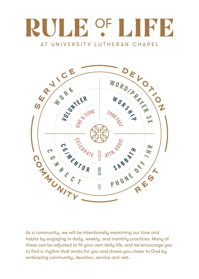# **RULE OF** K K AT UNIVERSITY LUTHERAN CHAPEL



As a community, we will be intentionally examining our time and habits by engaging in daily, weekly, and monthly practices. Many of these can be adjusted to fit your own daily life, and we encourage you to find a rhythm that works for you and draws you closer to God by embracing community, devotion, service and rest.